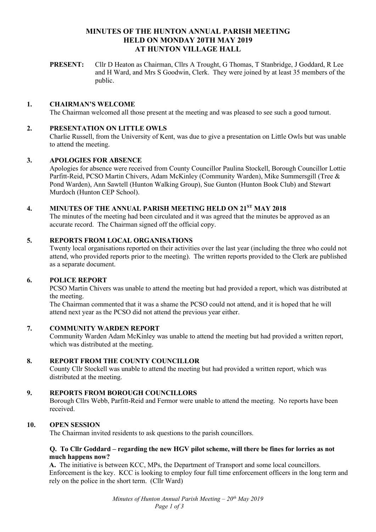# **MINUTES OF THE HUNTON ANNUAL PARISH MEETING HELD ON MONDAY 20TH MAY 2019 AT HUNTON VILLAGE HALL**

**PRESENT:** Cllr D Heaton as Chairman, Cllrs A Trought, G Thomas, T Stanbridge, J Goddard, R Lee and H Ward, and Mrs S Goodwin, Clerk. They were joined by at least 35 members of the public.

#### **1. CHAIRMAN'S WELCOME**

The Chairman welcomed all those present at the meeting and was pleased to see such a good turnout.

#### **2. PRESENTATION ON LITTLE OWLS**

Charlie Russell, from the University of Kent, was due to give a presentation on Little Owls but was unable to attend the meeting.

#### **3. APOLOGIES FOR ABSENCE**

Apologies for absence were received from County Councillor Paulina Stockell, Borough Councillor Lottie Parfitt-Reid, PCSO Martin Chivers, Adam McKinley (Community Warden), Mike Summersgill (Tree & Pond Warden), Ann Sawtell (Hunton Walking Group), Sue Gunton (Hunton Book Club) and Stewart Murdoch (Hunton CEP School).

# **4. MINUTES OF THE ANNUAL PARISH MEETING HELD ON 21ST MAY 2018**

The minutes of the meeting had been circulated and it was agreed that the minutes be approved as an accurate record. The Chairman signed off the official copy.

#### **5. REPORTS FROM LOCAL ORGANISATIONS**

Twenty local organisations reported on their activities over the last year (including the three who could not attend, who provided reports prior to the meeting). The written reports provided to the Clerk are published as a separate document.

#### **6. POLICE REPORT**

PCSO Martin Chivers was unable to attend the meeting but had provided a report, which was distributed at the meeting.

The Chairman commented that it was a shame the PCSO could not attend, and it is hoped that he will attend next year as the PCSO did not attend the previous year either.

#### **7. COMMUNITY WARDEN REPORT**

Community Warden Adam McKinley was unable to attend the meeting but had provided a written report, which was distributed at the meeting.

#### **8. REPORT FROM THE COUNTY COUNCILLOR**

County Cllr Stockell was unable to attend the meeting but had provided a written report, which was distributed at the meeting.

#### **9. REPORTS FROM BOROUGH COUNCILLORS**

Borough Cllrs Webb, Parfitt-Reid and Fermor were unable to attend the meeting. No reports have been received.

#### **10. OPEN SESSION**

The Chairman invited residents to ask questions to the parish councillors.

#### **Q. To Cllr Goddard – regarding the new HGV pilot scheme, will there be fines for lorries as not much happens now?**

**A.** The initiative is between KCC, MPs, the Department of Transport and some local councillors. Enforcement is the key. KCC is looking to employ four full time enforcement officers in the long term and rely on the police in the short term. (Cllr Ward)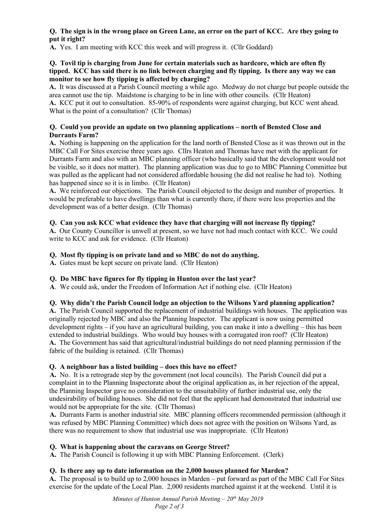### **Q. The sign is in the wrong place on Green Lane, an error on the part of KCC. Are they going to put it right?**

**A.** Yes. I am meeting with KCC this week and will progress it. (Cllr Goddard)

#### **Q. Tovil tip is charging from June for certain materials such as hardcore, which are often fly tipped. KCC has said there is no link between charging and fly tipping. Is there any way we can monitor to see how fly tipping is affected by charging?**

**A.** It was discussed at a Parish Council meeting a while ago. Medway do not charge but people outside the area cannot use the tip. Maidstone is charging to be in line with other councils. (Cllr Heaton)

**A.** KCC put it out to consultation. 85-90% of respondents were against charging, but KCC went ahead. What is the point of a consultation? (Cllr Thomas)

### **Q. Could you provide an update on two planning applications – north of Bensted Close and Durrants Farm?**

**A.** Nothing is happening on the application for the land north of Bensted Close as it was thrown out in the MBC Call For Sites exercise three years ago. Cllrs Heaton and Thomas have met with the applicant for Durrants Farm and also with an MBC planning officer (who basically said that the development would not be visible, so it does not matter). The planning application was due to go to MBC Planning Committee but was pulled as the applicant had not considered affordable housing (he did not realise he had to). Nothing has happened since so it is in limbo. (Cllr Heaton)

**A.** We reinforced our objections. The Parish Council objected to the design and number of properties. It would be preferable to have dwellings than what is currently there, if there were less properties and the development was of a better design. (Cllr Thomas)

# **Q. Can you ask KCC what evidence they have that charging will not increase fly tipping?**

**A.** Our County Councillor is unwell at present, so we have not had much contact with KCC. We could write to KCC and ask for evidence. (Cllr Heaton)

# **Q. Most fly tipping is on private land and so MBC do not do anything.**

**A.** Gates must be kept secure on private land. (Cllr Heaton)

### **Q. Do MBC have figures for fly tipping in Hunton over the last year?**

**A**. We could ask, under the Freedom of Information Act if nothing else. (Cllr Heaton)

### **Q. Why didn't the Parish Council lodge an objection to the Wilsons Yard planning application?**

**A.** The Parish Council supported the replacement of industrial buildings with houses. The application was originally rejected by MBC and also the Planning Inspector. The applicant is now using permitted development rights – if you have an agricultural building, you can make it into a dwelling – this has been extended to industrial buildings. Who would buy houses with a corrugated iron roof? (Cllr Heaton) **A.** The Government has said that agricultural/industrial buildings do not need planning permission if the fabric of the building is retained. (Cllr Thomas)

### **Q. A neighbour has a listed building – does this have no effect?**

**A.** No. It is a retrograde step by the government (not local councils). The Parish Council did put a complaint in to the Planning Inspectorate about the original application as, in her rejection of the appeal, the Planning Inspector gave no consideration to the unsuitability of further industrial use, only the undesirability of building houses. She did not feel that the applicant had demonstrated that industrial use would not be appropriate for the site. (Cllr Thomas)

**A.** Durrants Farm is another industrial site. MBC planning officers recommended permission (although it was refused by MBC Planning Committee) which does not agree with the position on Wilsons Yard, as there was no requirement to show that industrial use was inappropriate. (Cllr Heaton)

### **Q. What is happening about the caravans on George Street?**

**A.** The Parish Council is following it up with MBC Planning Enforcement. (Clerk)

### **Q. Is there any up to date information on the 2,000 houses planned for Marden?**

**A.** The proposal is to build up to 2,000 houses in Marden – put forward as part of the MBC Call For Sites exercise for the update of the Local Plan. 2,000 residents marched against it at the weekend. Until it is